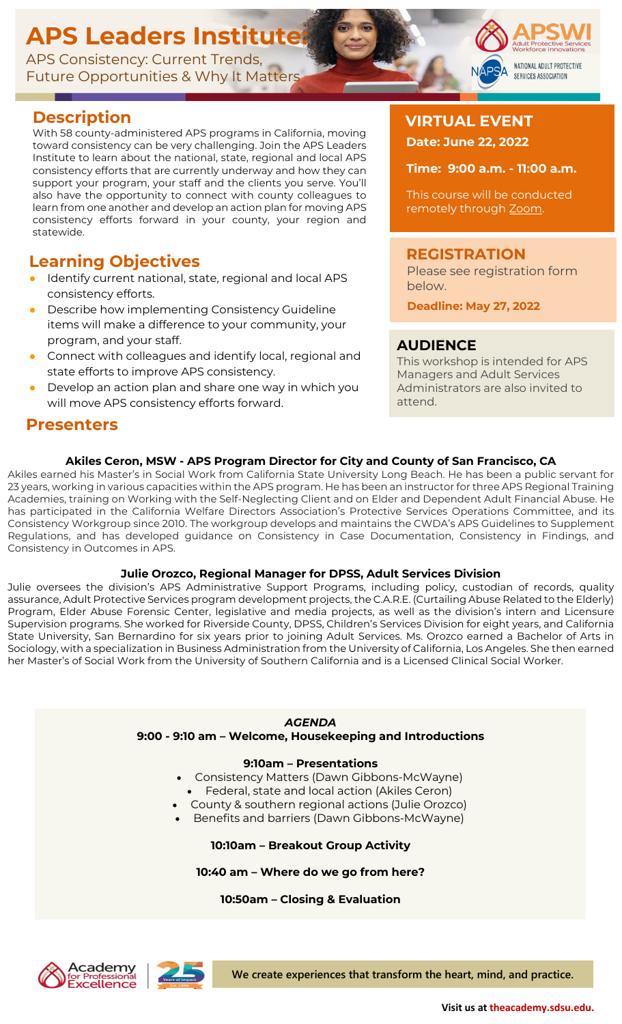# **APS Leaders Institute:**

APS Consistency: Current Trends, Future Opportunities & Why It Matters

# **Description**

With 58 county-administered APS programs in California, moving toward consistency can be very challenging. Join the APS Leaders Institute to learn about the national, state, regional and local APS consistency efforts that are currently underway and how they can support your program, your staff and the clients you serve. You'll also have the opportunity to connect with county colleagues to learn from one another and develop an action plan for moving APS consistency efforts forward in your county, your region and statewide.

## **Learning Objectives**

- Identify current national, state, regional and local APS consistency efforts.
- Describe how implementing Consistency Guideline items will make a difference to your community, your program, and your staff.
- Connect with colleagues and identify local, regional and state efforts to improve APS consistency.
- Develop an action plan and share one way in which you will move APS consistency efforts forward.

### **Presenters**

## **VIRTUAL EVENT Date: June 22, 2022**

**Time: 9:00 a.m. - 11:00 a.m.**

NATIONAL ADULT PROTECTIVE SERVICES ASSOCIATION

This course will be conducted remotely t[h](https://zoom.us/)rough [Zoom.](https://zoom.us/)

### **REGISTRATION**

Please see registration form below.

 **Deadline: May 27, 2022**

### **AUDIENCE**

This workshop is intended for APS Managers and Adult Services Administrators are also invited to attend.

#### **Akiles Ceron, MSW - APS Program Director for City and County of San Francisco, CA**

Akiles earned his Master's in Social Work from California State University Long Beach. He has been a public servant for 23 years, working in various capacities within the APS program. He has been an instructor for three APS Regional Training Academies, training on Working with the Self-Neglecting Client and on Elder and Dependent Adult Financial Abuse. He has participated in the California Welfare Directors Association's Protective Services Operations Committee, and its Consistency Workgroup since 2010. The workgroup develops and maintains the CWDA's APS Guidelines to Supplement Regulations, and has developed guidance on Consistency in Case Documentation, Consistency in Findings, and Consistency in Outcomes in APS.

#### **Julie Orozco, Regional Manager for DPSS, Adult Services Division**

Julie oversees the division's APS Administrative Support Programs, including policy, custodian of records, quality assurance, Adult Protective Services program development projects, the C.A.R.E. (Curtailing Abuse Related to the Elderly) Program, Elder Abuse Forensic Center, legislative and media projects, as well as the division's intern and Licensure Supervision programs. She worked for Riverside County, DPSS, Children's Services Division for eight years, and California State University, San Bernardino for six years prior to joining Adult Services. Ms. Orozco earned a Bachelor of Arts in Sociology, with a specialization in Business Administration from the University of California, Los Angeles. She then earned her Master's of Social Work from the University of Southern California and is a Licensed Clinical Social Worker.

#### *AGENDA*

**9:00 - 9:10 am – Welcome, Housekeeping and Introductions**

#### **9:10am – Presentations**

- Consistency Matters (Dawn Gibbons-McWayne)
	- Federal, state and local action (Akiles Ceron)
- County & southern regional actions (Julie Orozco)
- Benefits and barriers (Dawn Gibbons-McWayne)

#### **10:10am – Breakout Group Activity**

#### **10:40 am – Where do we go from here?**

#### **10:50am – Closing & Evaluation**





**We create experiences that transform the heart, mind, and practice.**